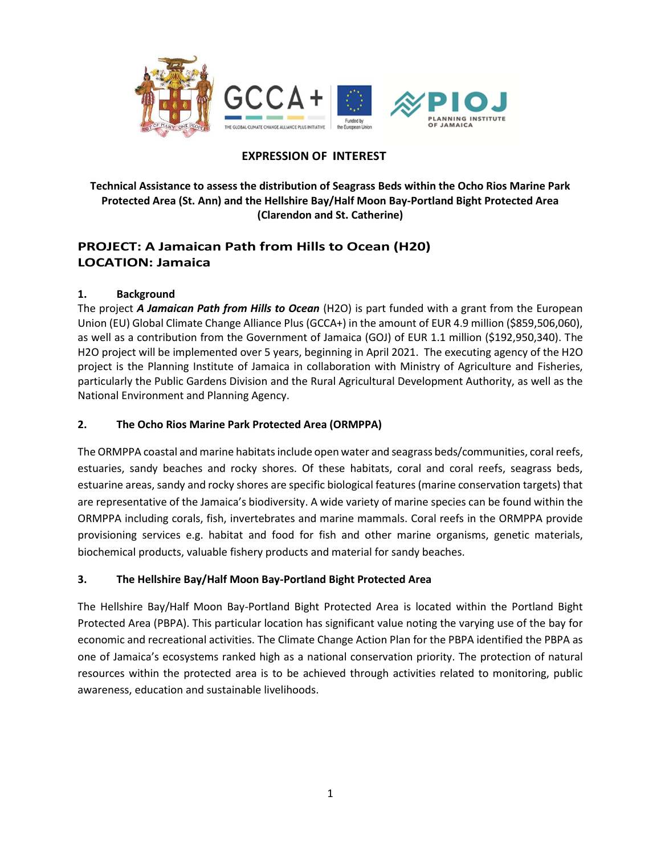

# **EXPRESSION OF INTEREST**

**Technical Assistance to assess the distribution of Seagrass Beds within the Ocho Rios Marine Park Protected Area (St. Ann) and the Hellshire Bay/Half Moon Bay-Portland Bight Protected Area (Clarendon and St. Catherine)** 

# **PROJECT: A Jamaican Path from Hills to Ocean (H20) LOCATION: Jamaica**

### **1. Background**

The project *A Jamaican Path from Hills to Ocean* (H2O) is part funded with a grant from the European Union (EU) Global Climate Change Alliance Plus (GCCA+) in the amount of EUR 4.9 million (\$859,506,060), as well as a contribution from the Government of Jamaica (GOJ) of EUR 1.1 million (\$192,950,340). The H2O project will be implemented over 5 years, beginning in April 2021. The executing agency of the H2O project is the Planning Institute of Jamaica in collaboration with Ministry of Agriculture and Fisheries, particularly the Public Gardens Division and the Rural Agricultural Development Authority, as well as the National Environment and Planning Agency.

### **2. The Ocho Rios Marine Park Protected Area (ORMPPA)**

The ORMPPA coastal and marine habitats include open water and seagrass beds/communities, coral reefs, estuaries, sandy beaches and rocky shores. Of these habitats, coral and coral reefs, seagrass beds, estuarine areas, sandy and rocky shores are specific biological features (marine conservation targets) that are representative of the Jamaica's biodiversity. A wide variety of marine species can be found within the ORMPPA including corals, fish, invertebrates and marine mammals. Coral reefs in the ORMPPA provide provisioning services e.g. habitat and food for fish and other marine organisms, genetic materials, biochemical products, valuable fishery products and material for sandy beaches.

## **3. The Hellshire Bay/Half Moon Bay-Portland Bight Protected Area**

The Hellshire Bay/Half Moon Bay-Portland Bight Protected Area is located within the Portland Bight Protected Area (PBPA). This particular location has significant value noting the varying use of the bay for economic and recreational activities. The Climate Change Action Plan for the PBPA identified the PBPA as one of Jamaica's ecosystems ranked high as a national conservation priority. The protection of natural resources within the protected area is to be achieved through activities related to monitoring, public awareness, education and sustainable livelihoods.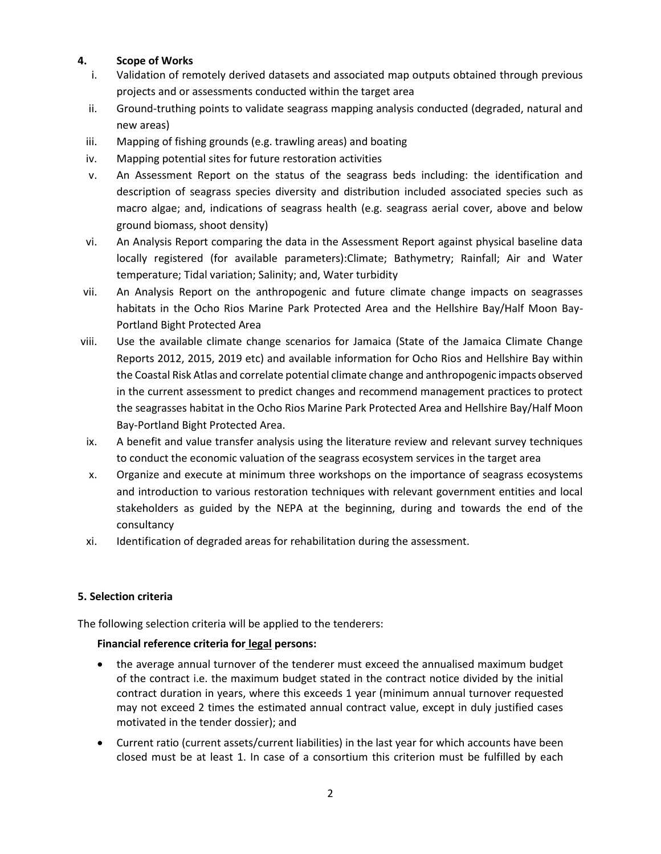### **4. Scope of Works**

- i. Validation of remotely derived datasets and associated map outputs obtained through previous projects and or assessments conducted within the target area
- ii. Ground-truthing points to validate seagrass mapping analysis conducted (degraded, natural and new areas)
- iii. Mapping of fishing grounds (e.g. trawling areas) and boating
- iv. Mapping potential sites for future restoration activities
- v. An Assessment Report on the status of the seagrass beds including: the identification and description of seagrass species diversity and distribution included associated species such as macro algae; and, indications of seagrass health (e.g. seagrass aerial cover, above and below ground biomass, shoot density)
- vi. An Analysis Report comparing the data in the Assessment Report against physical baseline data locally registered (for available parameters):Climate; Bathymetry; Rainfall; Air and Water temperature; Tidal variation; Salinity; and, Water turbidity
- vii. An Analysis Report on the anthropogenic and future climate change impacts on seagrasses habitats in the Ocho Rios Marine Park Protected Area and the Hellshire Bay/Half Moon Bay-Portland Bight Protected Area
- viii. Use the available climate change scenarios for Jamaica (State of the Jamaica Climate Change Reports 2012, 2015, 2019 etc) and available information for Ocho Rios and Hellshire Bay within the Coastal Risk Atlas and correlate potential climate change and anthropogenic impacts observed in the current assessment to predict changes and recommend management practices to protect the seagrasses habitat in the Ocho Rios Marine Park Protected Area and Hellshire Bay/Half Moon Bay-Portland Bight Protected Area.
- ix. A benefit and value transfer analysis using the literature review and relevant survey techniques to conduct the economic valuation of the seagrass ecosystem services in the target area
- x. Organize and execute at minimum three workshops on the importance of seagrass ecosystems and introduction to various restoration techniques with relevant government entities and local stakeholders as guided by the NEPA at the beginning, during and towards the end of the consultancy
- xi. Identification of degraded areas for rehabilitation during the assessment.

## **5. Selection criteria**

The following selection criteria will be applied to the tenderers:

## **Financial reference criteria for legal persons:**

- the average annual turnover of the tenderer must exceed the annualised maximum budget of the contract i.e. the maximum budget stated in the contract notice divided by the initial contract duration in years, where this exceeds 1 year (minimum annual turnover requested may not exceed 2 times the estimated annual contract value, except in duly justified cases motivated in the tender dossier); and
- Current ratio (current assets/current liabilities) in the last year for which accounts have been closed must be at least 1. In case of a consortium this criterion must be fulfilled by each